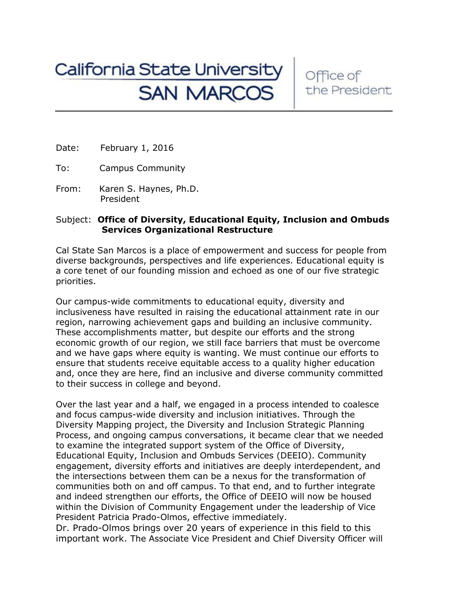## California State University<br>SAN MARCOS

Office of the President

Date: February 1, 2016

To: Campus Community

From: Karen S. Haynes, Ph.D. President

## Subject: **Office of Diversity, Educational Equity, Inclusion and Ombuds Services Organizational Restructure**

Cal State San Marcos is a place of empowerment and success for people from diverse backgrounds, perspectives and life experiences. Educational equity is a core tenet of our founding mission and echoed as one of our five strategic priorities.

Our campus-wide commitments to educational equity, diversity and inclusiveness have resulted in raising the educational attainment rate in our region, narrowing achievement gaps and building an inclusive community. These accomplishments matter, but despite our efforts and the strong economic growth of our region, we still face barriers that must be overcome and we have gaps where equity is wanting. We must continue our efforts to ensure that students receive equitable access to a quality higher education and, once they are here, find an inclusive and diverse community committed to their success in college and beyond.

Over the last year and a half, we engaged in a process intended to coalesce and focus campus-wide diversity and inclusion initiatives. Through the Diversity Mapping project, the Diversity and Inclusion Strategic Planning Process, and ongoing campus conversations, it became clear that we needed to examine the integrated support system of the Office of Diversity, Educational Equity, Inclusion and Ombuds Services (DEEIO). Community engagement, diversity efforts and initiatives are deeply interdependent, and the intersections between them can be a nexus for the transformation of communities both on and off campus. To that end, and to further integrate and indeed strengthen our efforts, the Office of DEEIO will now be housed within the Division of Community Engagement under the leadership of Vice President Patricia Prado-Olmos, effective immediately.

Dr. Prado-Olmos brings over 20 years of experience in this field to this important work. The Associate Vice President and Chief Diversity Officer will